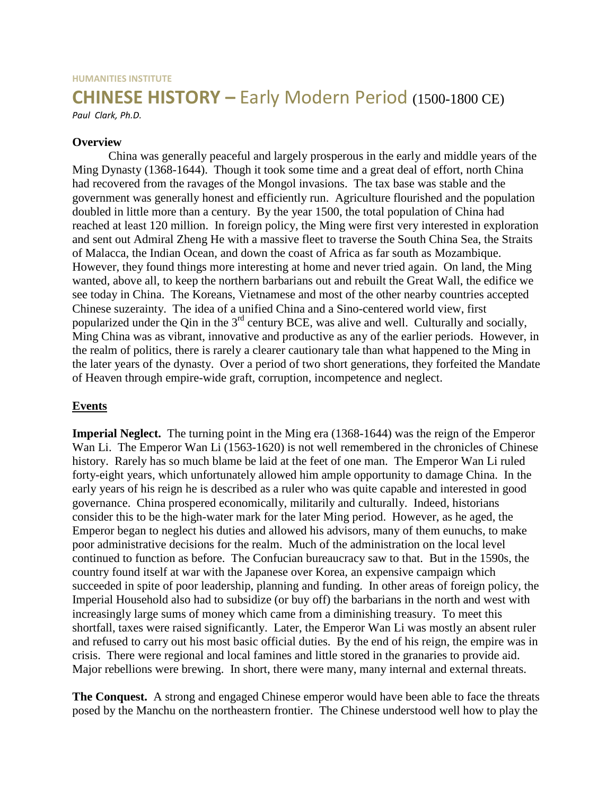# **CHINESE HISTORY –** Early Modern Period (1500-1800 CE)

*Paul Clark, Ph.D.*

#### **Overview**

China was generally peaceful and largely prosperous in the early and middle years of the Ming Dynasty (1368-1644). Though it took some time and a great deal of effort, north China had recovered from the ravages of the Mongol invasions. The tax base was stable and the government was generally honest and efficiently run. Agriculture flourished and the population doubled in little more than a century. By the year 1500, the total population of China had reached at least 120 million. In foreign policy, the Ming were first very interested in exploration and sent out Admiral Zheng He with a massive fleet to traverse the South China Sea, the Straits of Malacca, the Indian Ocean, and down the coast of Africa as far south as Mozambique. However, they found things more interesting at home and never tried again. On land, the Ming wanted, above all, to keep the northern barbarians out and rebuilt the Great Wall, the edifice we see today in China. The Koreans, Vietnamese and most of the other nearby countries accepted Chinese suzerainty. The idea of a unified China and a Sino-centered world view, first popularized under the Qin in the 3rd century BCE, was alive and well. Culturally and socially, Ming China was as vibrant, innovative and productive as any of the earlier periods. However, in the realm of politics, there is rarely a clearer cautionary tale than what happened to the Ming in the later years of the dynasty. Over a period of two short generations, they forfeited the Mandate of Heaven through empire-wide graft, corruption, incompetence and neglect.

#### **Events**

**Imperial Neglect.** The turning point in the Ming era (1368-1644) was the reign of the Emperor Wan Li. The Emperor Wan Li (1563-1620) is not well remembered in the chronicles of Chinese history. Rarely has so much blame be laid at the feet of one man. The Emperor Wan Li ruled forty-eight years, which unfortunately allowed him ample opportunity to damage China. In the early years of his reign he is described as a ruler who was quite capable and interested in good governance. China prospered economically, militarily and culturally. Indeed, historians consider this to be the high-water mark for the later Ming period. However, as he aged, the Emperor began to neglect his duties and allowed his advisors, many of them eunuchs, to make poor administrative decisions for the realm. Much of the administration on the local level continued to function as before. The Confucian bureaucracy saw to that. But in the 1590s, the country found itself at war with the Japanese over Korea, an expensive campaign which succeeded in spite of poor leadership, planning and funding. In other areas of foreign policy, the Imperial Household also had to subsidize (or buy off) the barbarians in the north and west with increasingly large sums of money which came from a diminishing treasury. To meet this shortfall, taxes were raised significantly. Later, the Emperor Wan Li was mostly an absent ruler and refused to carry out his most basic official duties. By the end of his reign, the empire was in crisis. There were regional and local famines and little stored in the granaries to provide aid. Major rebellions were brewing. In short, there were many, many internal and external threats.

**The Conquest.** A strong and engaged Chinese emperor would have been able to face the threats posed by the Manchu on the northeastern frontier. The Chinese understood well how to play the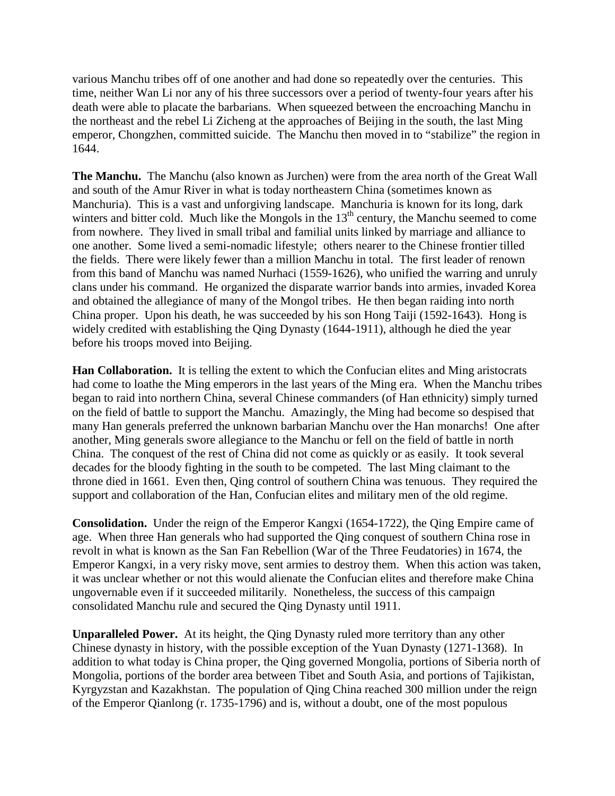various Manchu tribes off of one another and had done so repeatedly over the centuries. This time, neither Wan Li nor any of his three successors over a period of twenty-four years after his death were able to placate the barbarians. When squeezed between the encroaching Manchu in the northeast and the rebel Li Zicheng at the approaches of Beijing in the south, the last Ming emperor, Chongzhen, committed suicide. The Manchu then moved in to "stabilize" the region in 1644.

**The Manchu.** The Manchu (also known as Jurchen) were from the area north of the Great Wall and south of the Amur River in what is today northeastern China (sometimes known as Manchuria). This is a vast and unforgiving landscape. Manchuria is known for its long, dark winters and bitter cold. Much like the Mongols in the  $13<sup>th</sup>$  century, the Manchu seemed to come from nowhere. They lived in small tribal and familial units linked by marriage and alliance to one another. Some lived a semi-nomadic lifestyle; others nearer to the Chinese frontier tilled the fields. There were likely fewer than a million Manchu in total. The first leader of renown from this band of Manchu was named Nurhaci (1559-1626), who unified the warring and unruly clans under his command. He organized the disparate warrior bands into armies, invaded Korea and obtained the allegiance of many of the Mongol tribes. He then began raiding into north China proper. Upon his death, he was succeeded by his son Hong Taiji (1592-1643). Hong is widely credited with establishing the Qing Dynasty (1644-1911), although he died the year before his troops moved into Beijing.

**Han Collaboration.** It is telling the extent to which the Confucian elites and Ming aristocrats had come to loathe the Ming emperors in the last years of the Ming era. When the Manchu tribes began to raid into northern China, several Chinese commanders (of Han ethnicity) simply turned on the field of battle to support the Manchu. Amazingly, the Ming had become so despised that many Han generals preferred the unknown barbarian Manchu over the Han monarchs! One after another, Ming generals swore allegiance to the Manchu or fell on the field of battle in north China. The conquest of the rest of China did not come as quickly or as easily. It took several decades for the bloody fighting in the south to be competed. The last Ming claimant to the throne died in 1661. Even then, Qing control of southern China was tenuous. They required the support and collaboration of the Han, Confucian elites and military men of the old regime.

**Consolidation.** Under the reign of the Emperor Kangxi (1654-1722), the Qing Empire came of age. When three Han generals who had supported the Qing conquest of southern China rose in revolt in what is known as the San Fan Rebellion (War of the Three Feudatories) in 1674, the Emperor Kangxi, in a very risky move, sent armies to destroy them. When this action was taken, it was unclear whether or not this would alienate the Confucian elites and therefore make China ungovernable even if it succeeded militarily. Nonetheless, the success of this campaign consolidated Manchu rule and secured the Qing Dynasty until 1911.

**Unparalleled Power.** At its height, the Qing Dynasty ruled more territory than any other Chinese dynasty in history, with the possible exception of the Yuan Dynasty (1271-1368). In addition to what today is China proper, the Qing governed Mongolia, portions of Siberia north of Mongolia, portions of the border area between Tibet and South Asia, and portions of Tajikistan, Kyrgyzstan and Kazakhstan. The population of Qing China reached 300 million under the reign of the Emperor Qianlong (r. 1735-1796) and is, without a doubt, one of the most populous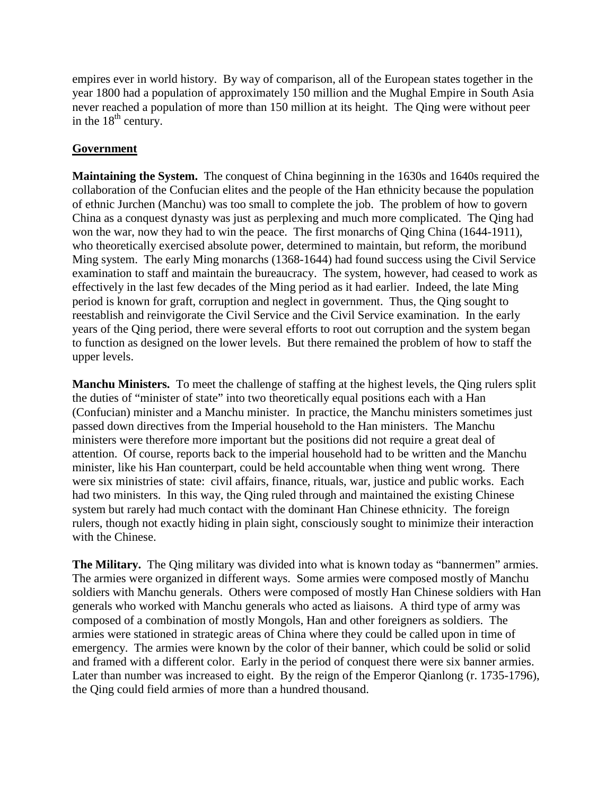empires ever in world history. By way of comparison, all of the European states together in the year 1800 had a population of approximately 150 million and the Mughal Empire in South Asia never reached a population of more than 150 million at its height. The Qing were without peer in the  $18^{th}$  century.

# **Government**

**Maintaining the System.** The conquest of China beginning in the 1630s and 1640s required the collaboration of the Confucian elites and the people of the Han ethnicity because the population of ethnic Jurchen (Manchu) was too small to complete the job. The problem of how to govern China as a conquest dynasty was just as perplexing and much more complicated. The Qing had won the war, now they had to win the peace. The first monarchs of Qing China (1644-1911), who theoretically exercised absolute power, determined to maintain, but reform, the moribund Ming system. The early Ming monarchs (1368-1644) had found success using the Civil Service examination to staff and maintain the bureaucracy. The system, however, had ceased to work as effectively in the last few decades of the Ming period as it had earlier. Indeed, the late Ming period is known for graft, corruption and neglect in government. Thus, the Qing sought to reestablish and reinvigorate the Civil Service and the Civil Service examination. In the early years of the Qing period, there were several efforts to root out corruption and the system began to function as designed on the lower levels. But there remained the problem of how to staff the upper levels.

**Manchu Ministers.** To meet the challenge of staffing at the highest levels, the Qing rulers split the duties of "minister of state" into two theoretically equal positions each with a Han (Confucian) minister and a Manchu minister. In practice, the Manchu ministers sometimes just passed down directives from the Imperial household to the Han ministers. The Manchu ministers were therefore more important but the positions did not require a great deal of attention. Of course, reports back to the imperial household had to be written and the Manchu minister, like his Han counterpart, could be held accountable when thing went wrong. There were six ministries of state: civil affairs, finance, rituals, war, justice and public works. Each had two ministers. In this way, the Qing ruled through and maintained the existing Chinese system but rarely had much contact with the dominant Han Chinese ethnicity. The foreign rulers, though not exactly hiding in plain sight, consciously sought to minimize their interaction with the Chinese.

**The Military.** The Qing military was divided into what is known today as "bannermen" armies. The armies were organized in different ways. Some armies were composed mostly of Manchu soldiers with Manchu generals. Others were composed of mostly Han Chinese soldiers with Han generals who worked with Manchu generals who acted as liaisons. A third type of army was composed of a combination of mostly Mongols, Han and other foreigners as soldiers. The armies were stationed in strategic areas of China where they could be called upon in time of emergency. The armies were known by the color of their banner, which could be solid or solid and framed with a different color. Early in the period of conquest there were six banner armies. Later than number was increased to eight. By the reign of the Emperor Qianlong (r. 1735-1796), the Qing could field armies of more than a hundred thousand.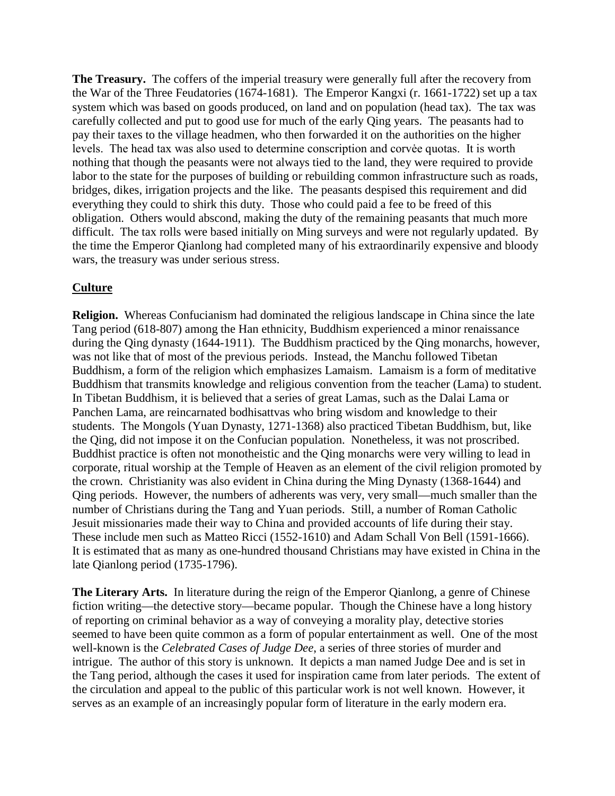**The Treasury.** The coffers of the imperial treasury were generally full after the recovery from the War of the Three Feudatories (1674-1681). The Emperor Kangxi (r. 1661-1722) set up a tax system which was based on goods produced, on land and on population (head tax). The tax was carefully collected and put to good use for much of the early Qing years. The peasants had to pay their taxes to the village headmen, who then forwarded it on the authorities on the higher levels. The head tax was also used to determine conscription and corvėe quotas. It is worth nothing that though the peasants were not always tied to the land, they were required to provide labor to the state for the purposes of building or rebuilding common infrastructure such as roads, bridges, dikes, irrigation projects and the like. The peasants despised this requirement and did everything they could to shirk this duty. Those who could paid a fee to be freed of this obligation. Others would abscond, making the duty of the remaining peasants that much more difficult. The tax rolls were based initially on Ming surveys and were not regularly updated. By the time the Emperor Qianlong had completed many of his extraordinarily expensive and bloody wars, the treasury was under serious stress.

# **Culture**

**Religion.** Whereas Confucianism had dominated the religious landscape in China since the late Tang period (618-807) among the Han ethnicity, Buddhism experienced a minor renaissance during the Qing dynasty (1644-1911). The Buddhism practiced by the Qing monarchs, however, was not like that of most of the previous periods. Instead, the Manchu followed Tibetan Buddhism, a form of the religion which emphasizes Lamaism. Lamaism is a form of meditative Buddhism that transmits knowledge and religious convention from the teacher (Lama) to student. In Tibetan Buddhism, it is believed that a series of great Lamas, such as the Dalai Lama or Panchen Lama, are reincarnated bodhisattvas who bring wisdom and knowledge to their students. The Mongols (Yuan Dynasty, 1271-1368) also practiced Tibetan Buddhism, but, like the Qing, did not impose it on the Confucian population. Nonetheless, it was not proscribed. Buddhist practice is often not monotheistic and the Qing monarchs were very willing to lead in corporate, ritual worship at the Temple of Heaven as an element of the civil religion promoted by the crown. Christianity was also evident in China during the Ming Dynasty (1368-1644) and Qing periods. However, the numbers of adherents was very, very small—much smaller than the number of Christians during the Tang and Yuan periods. Still, a number of Roman Catholic Jesuit missionaries made their way to China and provided accounts of life during their stay. These include men such as Matteo Ricci (1552-1610) and Adam Schall Von Bell (1591-1666). It is estimated that as many as one-hundred thousand Christians may have existed in China in the late Qianlong period (1735-1796).

**The Literary Arts.** In literature during the reign of the Emperor Qianlong, a genre of Chinese fiction writing—the detective story—became popular. Though the Chinese have a long history of reporting on criminal behavior as a way of conveying a morality play, detective stories seemed to have been quite common as a form of popular entertainment as well. One of the most well-known is the *Celebrated Cases of Judge Dee*, a series of three stories of murder and intrigue. The author of this story is unknown. It depicts a man named Judge Dee and is set in the Tang period, although the cases it used for inspiration came from later periods. The extent of the circulation and appeal to the public of this particular work is not well known. However, it serves as an example of an increasingly popular form of literature in the early modern era.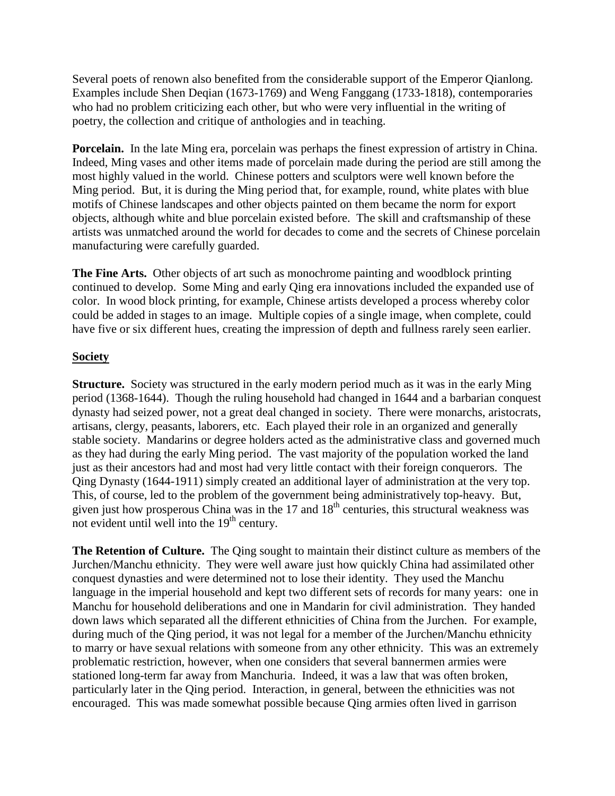Several poets of renown also benefited from the considerable support of the Emperor Qianlong. Examples include Shen Deqian (1673-1769) and Weng Fanggang (1733-1818), contemporaries who had no problem criticizing each other, but who were very influential in the writing of poetry, the collection and critique of anthologies and in teaching.

**Porcelain.** In the late Ming era, porcelain was perhaps the finest expression of artistry in China. Indeed, Ming vases and other items made of porcelain made during the period are still among the most highly valued in the world. Chinese potters and sculptors were well known before the Ming period. But, it is during the Ming period that, for example, round, white plates with blue motifs of Chinese landscapes and other objects painted on them became the norm for export objects, although white and blue porcelain existed before. The skill and craftsmanship of these artists was unmatched around the world for decades to come and the secrets of Chinese porcelain manufacturing were carefully guarded.

**The Fine Arts.** Other objects of art such as monochrome painting and woodblock printing continued to develop. Some Ming and early Qing era innovations included the expanded use of color. In wood block printing, for example, Chinese artists developed a process whereby color could be added in stages to an image. Multiple copies of a single image, when complete, could have five or six different hues, creating the impression of depth and fullness rarely seen earlier.

## **Society**

**Structure.** Society was structured in the early modern period much as it was in the early Ming period (1368-1644). Though the ruling household had changed in 1644 and a barbarian conquest dynasty had seized power, not a great deal changed in society. There were monarchs, aristocrats, artisans, clergy, peasants, laborers, etc. Each played their role in an organized and generally stable society. Mandarins or degree holders acted as the administrative class and governed much as they had during the early Ming period. The vast majority of the population worked the land just as their ancestors had and most had very little contact with their foreign conquerors. The Qing Dynasty (1644-1911) simply created an additional layer of administration at the very top. This, of course, led to the problem of the government being administratively top-heavy. But, given just how prosperous China was in the 17 and  $18<sup>th</sup>$  centuries, this structural weakness was not evident until well into the  $19<sup>th</sup>$  century.

**The Retention of Culture.** The Qing sought to maintain their distinct culture as members of the Jurchen/Manchu ethnicity. They were well aware just how quickly China had assimilated other conquest dynasties and were determined not to lose their identity. They used the Manchu language in the imperial household and kept two different sets of records for many years: one in Manchu for household deliberations and one in Mandarin for civil administration. They handed down laws which separated all the different ethnicities of China from the Jurchen. For example, during much of the Qing period, it was not legal for a member of the Jurchen/Manchu ethnicity to marry or have sexual relations with someone from any other ethnicity. This was an extremely problematic restriction, however, when one considers that several bannermen armies were stationed long-term far away from Manchuria. Indeed, it was a law that was often broken, particularly later in the Qing period. Interaction, in general, between the ethnicities was not encouraged. This was made somewhat possible because Qing armies often lived in garrison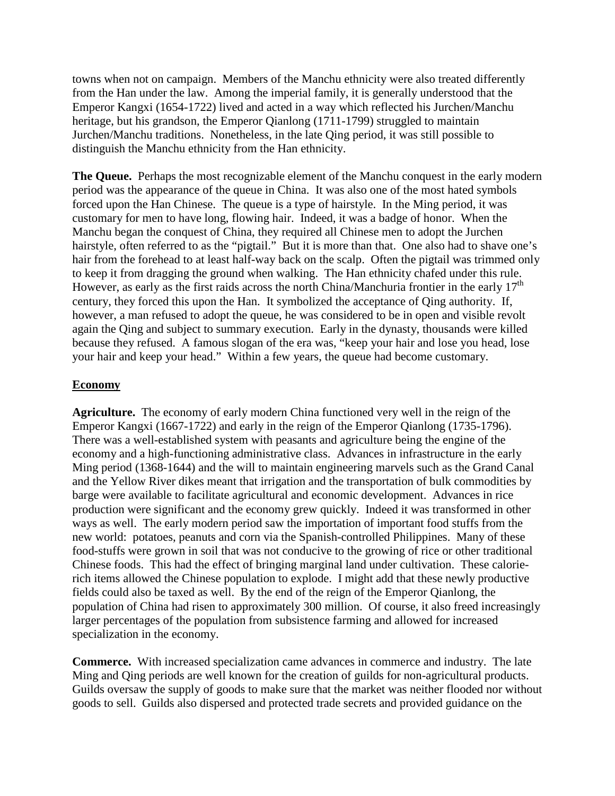towns when not on campaign. Members of the Manchu ethnicity were also treated differently from the Han under the law. Among the imperial family, it is generally understood that the Emperor Kangxi (1654-1722) lived and acted in a way which reflected his Jurchen/Manchu heritage, but his grandson, the Emperor Qianlong (1711-1799) struggled to maintain Jurchen/Manchu traditions. Nonetheless, in the late Qing period, it was still possible to distinguish the Manchu ethnicity from the Han ethnicity.

**The Queue.** Perhaps the most recognizable element of the Manchu conquest in the early modern period was the appearance of the queue in China. It was also one of the most hated symbols forced upon the Han Chinese. The queue is a type of hairstyle. In the Ming period, it was customary for men to have long, flowing hair. Indeed, it was a badge of honor. When the Manchu began the conquest of China, they required all Chinese men to adopt the Jurchen hairstyle, often referred to as the "pigtail." But it is more than that. One also had to shave one's hair from the forehead to at least half-way back on the scalp. Often the pigtail was trimmed only to keep it from dragging the ground when walking. The Han ethnicity chafed under this rule. However, as early as the first raids across the north China/Manchuria frontier in the early  $17<sup>th</sup>$ century, they forced this upon the Han. It symbolized the acceptance of Qing authority. If, however, a man refused to adopt the queue, he was considered to be in open and visible revolt again the Qing and subject to summary execution. Early in the dynasty, thousands were killed because they refused. A famous slogan of the era was, "keep your hair and lose you head, lose your hair and keep your head." Within a few years, the queue had become customary.

## **Economy**

**Agriculture.** The economy of early modern China functioned very well in the reign of the Emperor Kangxi (1667-1722) and early in the reign of the Emperor Qianlong (1735-1796). There was a well-established system with peasants and agriculture being the engine of the economy and a high-functioning administrative class. Advances in infrastructure in the early Ming period (1368-1644) and the will to maintain engineering marvels such as the Grand Canal and the Yellow River dikes meant that irrigation and the transportation of bulk commodities by barge were available to facilitate agricultural and economic development. Advances in rice production were significant and the economy grew quickly. Indeed it was transformed in other ways as well. The early modern period saw the importation of important food stuffs from the new world: potatoes, peanuts and corn via the Spanish-controlled Philippines. Many of these food-stuffs were grown in soil that was not conducive to the growing of rice or other traditional Chinese foods. This had the effect of bringing marginal land under cultivation. These calorierich items allowed the Chinese population to explode. I might add that these newly productive fields could also be taxed as well. By the end of the reign of the Emperor Qianlong, the population of China had risen to approximately 300 million. Of course, it also freed increasingly larger percentages of the population from subsistence farming and allowed for increased specialization in the economy.

**Commerce.** With increased specialization came advances in commerce and industry. The late Ming and Qing periods are well known for the creation of guilds for non-agricultural products. Guilds oversaw the supply of goods to make sure that the market was neither flooded nor without goods to sell. Guilds also dispersed and protected trade secrets and provided guidance on the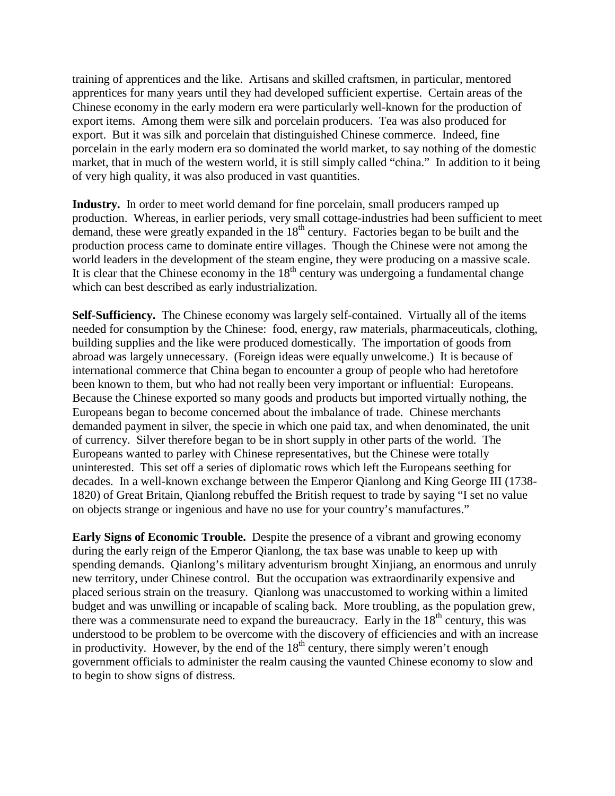training of apprentices and the like. Artisans and skilled craftsmen, in particular, mentored apprentices for many years until they had developed sufficient expertise. Certain areas of the Chinese economy in the early modern era were particularly well-known for the production of export items. Among them were silk and porcelain producers. Tea was also produced for export. But it was silk and porcelain that distinguished Chinese commerce. Indeed, fine porcelain in the early modern era so dominated the world market, to say nothing of the domestic market, that in much of the western world, it is still simply called "china." In addition to it being of very high quality, it was also produced in vast quantities.

**Industry.** In order to meet world demand for fine porcelain, small producers ramped up production. Whereas, in earlier periods, very small cottage-industries had been sufficient to meet demand, these were greatly expanded in the  $18<sup>th</sup>$  century. Factories began to be built and the production process came to dominate entire villages. Though the Chinese were not among the world leaders in the development of the steam engine, they were producing on a massive scale. It is clear that the Chinese economy in the  $18<sup>th</sup>$  century was undergoing a fundamental change which can best described as early industrialization.

**Self-Sufficiency.** The Chinese economy was largely self-contained. Virtually all of the items needed for consumption by the Chinese: food, energy, raw materials, pharmaceuticals, clothing, building supplies and the like were produced domestically. The importation of goods from abroad was largely unnecessary. (Foreign ideas were equally unwelcome.) It is because of international commerce that China began to encounter a group of people who had heretofore been known to them, but who had not really been very important or influential: Europeans. Because the Chinese exported so many goods and products but imported virtually nothing, the Europeans began to become concerned about the imbalance of trade. Chinese merchants demanded payment in silver, the specie in which one paid tax, and when denominated, the unit of currency. Silver therefore began to be in short supply in other parts of the world. The Europeans wanted to parley with Chinese representatives, but the Chinese were totally uninterested. This set off a series of diplomatic rows which left the Europeans seething for decades. In a well-known exchange between the Emperor Qianlong and King George III (1738- 1820) of Great Britain, Qianlong rebuffed the British request to trade by saying "I set no value on objects strange or ingenious and have no use for your country's manufactures."

**Early Signs of Economic Trouble.** Despite the presence of a vibrant and growing economy during the early reign of the Emperor Qianlong, the tax base was unable to keep up with spending demands. Qianlong's military adventurism brought Xinjiang, an enormous and unruly new territory, under Chinese control. But the occupation was extraordinarily expensive and placed serious strain on the treasury. Qianlong was unaccustomed to working within a limited budget and was unwilling or incapable of scaling back. More troubling, as the population grew, there was a commensurate need to expand the bureaucracy. Early in the  $18<sup>th</sup>$  century, this was understood to be problem to be overcome with the discovery of efficiencies and with an increase in productivity. However, by the end of the  $18<sup>th</sup>$  century, there simply weren't enough government officials to administer the realm causing the vaunted Chinese economy to slow and to begin to show signs of distress.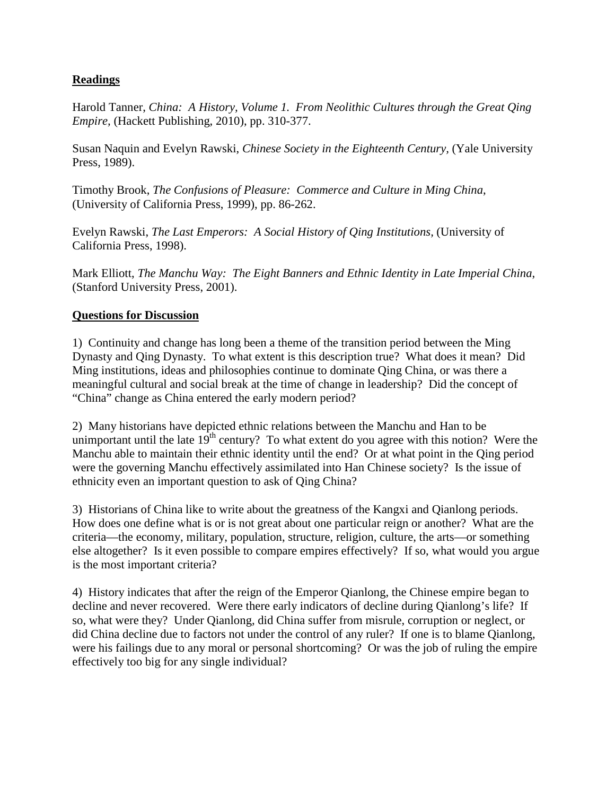# **Readings**

Harold Tanner, *China: A History, Volume 1. From Neolithic Cultures through the Great Qing Empire,* (Hackett Publishing, 2010), pp. 310-377.

Susan Naquin and Evelyn Rawski, *Chinese Society in the Eighteenth Century,* (Yale University Press, 1989).

Timothy Brook, *The Confusions of Pleasure: Commerce and Culture in Ming China*, (University of California Press, 1999), pp. 86-262.

Evelyn Rawski, *The Last Emperors: A Social History of Qing Institutions,* (University of California Press, 1998).

Mark Elliott, *The Manchu Way: The Eight Banners and Ethnic Identity in Late Imperial China*, (Stanford University Press, 2001).

## **Questions for Discussion**

1) Continuity and change has long been a theme of the transition period between the Ming Dynasty and Qing Dynasty. To what extent is this description true? What does it mean? Did Ming institutions, ideas and philosophies continue to dominate Qing China, or was there a meaningful cultural and social break at the time of change in leadership? Did the concept of "China" change as China entered the early modern period?

2) Many historians have depicted ethnic relations between the Manchu and Han to be unimportant until the late  $19<sup>th</sup>$  century? To what extent do you agree with this notion? Were the Manchu able to maintain their ethnic identity until the end? Or at what point in the Qing period were the governing Manchu effectively assimilated into Han Chinese society? Is the issue of ethnicity even an important question to ask of Qing China?

3) Historians of China like to write about the greatness of the Kangxi and Qianlong periods. How does one define what is or is not great about one particular reign or another? What are the criteria—the economy, military, population, structure, religion, culture, the arts—or something else altogether? Is it even possible to compare empires effectively? If so, what would you argue is the most important criteria?

4) History indicates that after the reign of the Emperor Qianlong, the Chinese empire began to decline and never recovered. Were there early indicators of decline during Qianlong's life? If so, what were they? Under Qianlong, did China suffer from misrule, corruption or neglect, or did China decline due to factors not under the control of any ruler? If one is to blame Qianlong, were his failings due to any moral or personal shortcoming? Or was the job of ruling the empire effectively too big for any single individual?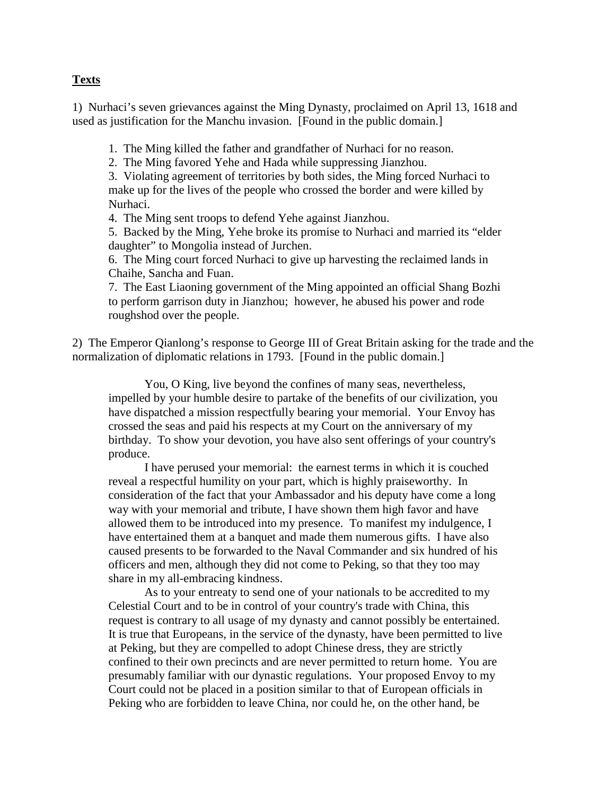## **Texts**

1)Nurhaci's seven grievances against the Ming Dynasty, proclaimed on April 13, 1618 and used as justification for the Manchu invasion. [Found in the public domain.]

1. The Ming killed the father and grandfather of Nurhaci for no reason.

2. The Ming favored Yehe and Hada while suppressing Jianzhou.

3. Violating agreement of territories by both sides, the Ming forced Nurhaci to make up for the lives of the people who crossed the border and were killed by Nurhaci.

4. The Ming sent troops to defend Yehe against Jianzhou.

5. Backed by the Ming, Yehe broke its promise to Nurhaci and married its "elder daughter" to Mongolia instead of Jurchen.

6. The Ming court forced Nurhaci to give up harvesting the reclaimed lands in Chaihe, Sancha and Fuan.

7. The East Liaoning government of the Ming appointed an official Shang Bozhi to perform garrison duty in Jianzhou; however, he abused his power and rode roughshod over the people.

2) The Emperor Qianlong's response to George III of Great Britain asking for the trade and the normalization of diplomatic relations in 1793. [Found in the public domain.]

You, O King, live beyond the confines of many seas, nevertheless, impelled by your humble desire to partake of the benefits of our civilization, you have dispatched a mission respectfully bearing your memorial. Your Envoy has crossed the seas and paid his respects at my Court on the anniversary of my birthday. To show your devotion, you have also sent offerings of your country's produce.

I have perused your memorial: the earnest terms in which it is couched reveal a respectful humility on your part, which is highly praiseworthy. In consideration of the fact that your Ambassador and his deputy have come a long way with your memorial and tribute, I have shown them high favor and have allowed them to be introduced into my presence. To manifest my indulgence, I have entertained them at a banquet and made them numerous gifts. I have also caused presents to be forwarded to the Naval Commander and six hundred of his officers and men, although they did not come to Peking, so that they too may share in my all-embracing kindness.

As to your entreaty to send one of your nationals to be accredited to my Celestial Court and to be in control of your country's trade with China, this request is contrary to all usage of my dynasty and cannot possibly be entertained. It is true that Europeans, in the service of the dynasty, have been permitted to live at Peking, but they are compelled to adopt Chinese dress, they are strictly confined to their own precincts and are never permitted to return home. You are presumably familiar with our dynastic regulations. Your proposed Envoy to my Court could not be placed in a position similar to that of European officials in Peking who are forbidden to leave China, nor could he, on the other hand, be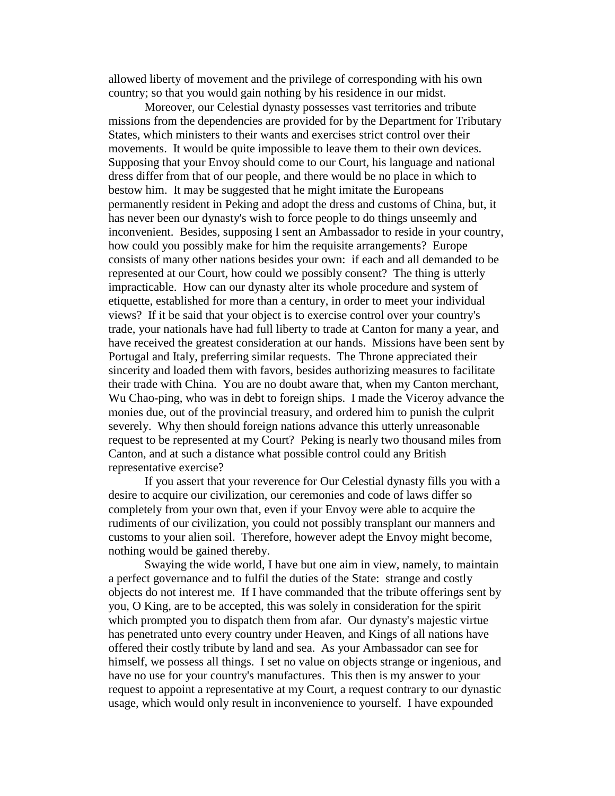allowed liberty of movement and the privilege of corresponding with his own country; so that you would gain nothing by his residence in our midst.

Moreover, our Celestial dynasty possesses vast territories and tribute missions from the dependencies are provided for by the Department for Tributary States, which ministers to their wants and exercises strict control over their movements. It would be quite impossible to leave them to their own devices. Supposing that your Envoy should come to our Court, his language and national dress differ from that of our people, and there would be no place in which to bestow him. It may be suggested that he might imitate the Europeans permanently resident in Peking and adopt the dress and customs of China, but, it has never been our dynasty's wish to force people to do things unseemly and inconvenient. Besides, supposing I sent an Ambassador to reside in your country, how could you possibly make for him the requisite arrangements? Europe consists of many other nations besides your own: if each and all demanded to be represented at our Court, how could we possibly consent? The thing is utterly impracticable. How can our dynasty alter its whole procedure and system of etiquette, established for more than a century, in order to meet your individual views? If it be said that your object is to exercise control over your country's trade, your nationals have had full liberty to trade at Canton for many a year, and have received the greatest consideration at our hands. Missions have been sent by Portugal and Italy, preferring similar requests. The Throne appreciated their sincerity and loaded them with favors, besides authorizing measures to facilitate their trade with China. You are no doubt aware that, when my Canton merchant, Wu Chao-ping, who was in debt to foreign ships. I made the Viceroy advance the monies due, out of the provincial treasury, and ordered him to punish the culprit severely. Why then should foreign nations advance this utterly unreasonable request to be represented at my Court? Peking is nearly two thousand miles from Canton, and at such a distance what possible control could any British representative exercise?

If you assert that your reverence for Our Celestial dynasty fills you with a desire to acquire our civilization, our ceremonies and code of laws differ so completely from your own that, even if your Envoy were able to acquire the rudiments of our civilization, you could not possibly transplant our manners and customs to your alien soil. Therefore, however adept the Envoy might become, nothing would be gained thereby.

Swaying the wide world, I have but one aim in view, namely, to maintain a perfect governance and to fulfil the duties of the State: strange and costly objects do not interest me. If I have commanded that the tribute offerings sent by you, O King, are to be accepted, this was solely in consideration for the spirit which prompted you to dispatch them from afar. Our dynasty's majestic virtue has penetrated unto every country under Heaven, and Kings of all nations have offered their costly tribute by land and sea. As your Ambassador can see for himself, we possess all things. I set no value on objects strange or ingenious, and have no use for your country's manufactures. This then is my answer to your request to appoint a representative at my Court, a request contrary to our dynastic usage, which would only result in inconvenience to yourself. I have expounded